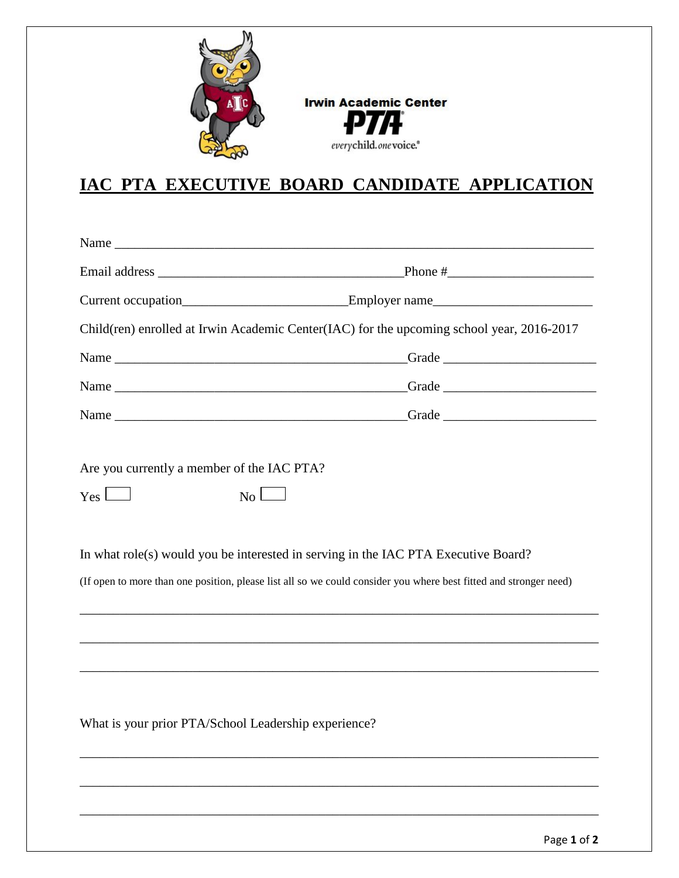

**Irwin Academic Center** P Д.

everychild.onevoice.<sup>®</sup>

## **IAC PTA EXECUTIVE BOARD CANDIDATE APPLICATION**

|                                                                              | Current occupation________________________________Employer name__________________                                                                                                                       |
|------------------------------------------------------------------------------|---------------------------------------------------------------------------------------------------------------------------------------------------------------------------------------------------------|
|                                                                              | Child(ren) enrolled at Irwin Academic Center(IAC) for the upcoming school year, 2016-2017                                                                                                               |
|                                                                              |                                                                                                                                                                                                         |
|                                                                              |                                                                                                                                                                                                         |
|                                                                              |                                                                                                                                                                                                         |
| Are you currently a member of the IAC PTA?<br>N <sub>0</sub><br>$Yes$ $\Box$ |                                                                                                                                                                                                         |
|                                                                              | In what role(s) would you be interested in serving in the IAC PTA Executive Board?<br>(If open to more than one position, please list all so we could consider you where best fitted and stronger need) |
|                                                                              |                                                                                                                                                                                                         |
| What is your prior PTA/School Leadership experience?                         |                                                                                                                                                                                                         |
|                                                                              |                                                                                                                                                                                                         |

\_\_\_\_\_\_\_\_\_\_\_\_\_\_\_\_\_\_\_\_\_\_\_\_\_\_\_\_\_\_\_\_\_\_\_\_\_\_\_\_\_\_\_\_\_\_\_\_\_\_\_\_\_\_\_\_\_\_\_\_\_\_\_\_\_\_\_\_\_\_\_\_\_\_\_\_\_\_